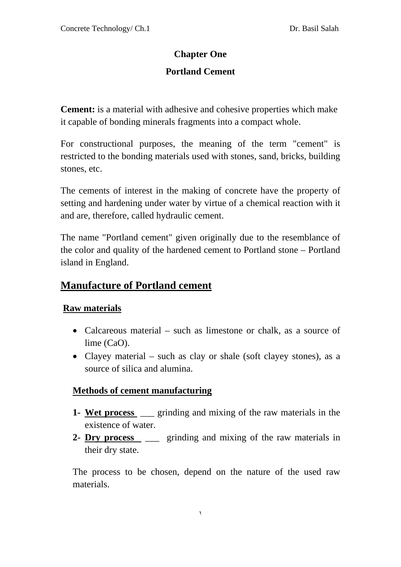# **Chapter One**

# **Portland Cement**

**Cement:** is a material with adhesive and cohesive properties which make it capable of bonding minerals fragments into a compact whole.

For constructional purposes, the meaning of the term "cement" is restricted to the bonding materials used with stones, sand, bricks, building stones, etc.

The cements of interest in the making of concrete have the property of setting and hardening under water by virtue of a chemical reaction with it and are, therefore, called hydraulic cement.

The name "Portland cement" given originally due to the resemblance of the color and quality of the hardened cement to Portland stone – Portland island in England.

# **Manufacture of Portland cement**

### **Raw materials**

- Calcareous material such as limestone or chalk, as a source of lime (CaO).
- Clayey material such as clay or shale (soft clayey stones), as a source of silica and alumina.

### **Methods of cement manufacturing**

- **1- Wet process** \_\_\_ grinding and mixing of the raw materials in the existence of water.
- **2- Dry process** \_\_\_ grinding and mixing of the raw materials in their dry state.

The process to be chosen, depend on the nature of the used raw materials.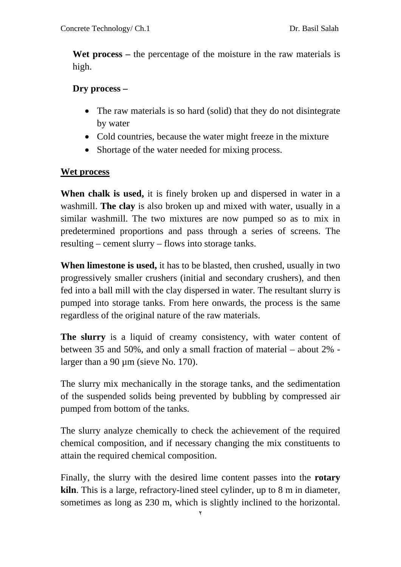**Wet process –** the percentage of the moisture in the raw materials is high.

# **Dry process –**

- The raw materials is so hard (solid) that they do not disintegrate by water
- Cold countries, because the water might freeze in the mixture
- Shortage of the water needed for mixing process.

# **Wet process**

**When chalk is used,** it is finely broken up and dispersed in water in a washmill. **The clay** is also broken up and mixed with water, usually in a similar washmill. The two mixtures are now pumped so as to mix in predetermined proportions and pass through a series of screens. The resulting – cement slurry – flows into storage tanks.

**When limestone is used,** it has to be blasted, then crushed, usually in two progressively smaller crushers (initial and secondary crushers), and then fed into a ball mill with the clay dispersed in water. The resultant slurry is pumped into storage tanks. From here onwards, the process is the same regardless of the original nature of the raw materials.

**The slurry** is a liquid of creamy consistency, with water content of between 35 and 50%, and only a small fraction of material – about 2% larger than a 90  $\mu$ m (sieve No. 170).

The slurry mix mechanically in the storage tanks, and the sedimentation of the suspended solids being prevented by bubbling by compressed air pumped from bottom of the tanks.

The slurry analyze chemically to check the achievement of the required chemical composition, and if necessary changing the mix constituents to attain the required chemical composition.

Finally, the slurry with the desired lime content passes into the **rotary kiln**. This is a large, refractory-lined steel cylinder, up to 8 m in diameter, sometimes as long as 230 m, which is slightly inclined to the horizontal.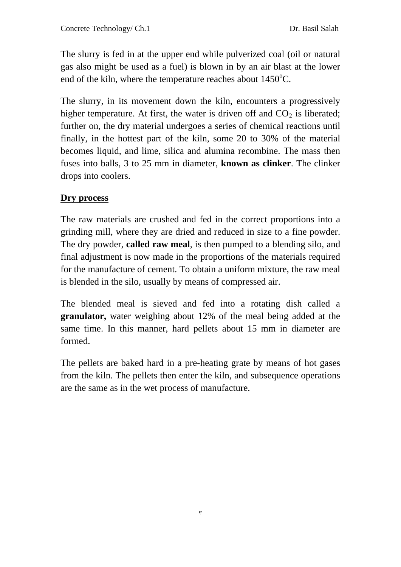The slurry is fed in at the upper end while pulverized coal (oil or natural gas also might be used as a fuel) is blown in by an air blast at the lower end of the kiln, where the temperature reaches about 1450°C.

The slurry, in its movement down the kiln, encounters a progressively higher temperature. At first, the water is driven off and  $CO<sub>2</sub>$  is liberated; further on, the dry material undergoes a series of chemical reactions until finally, in the hottest part of the kiln, some 20 to 30% of the material becomes liquid, and lime, silica and alumina recombine. The mass then fuses into balls, 3 to 25 mm in diameter, **known as clinker**. The clinker drops into coolers.

# **Dry process**

The raw materials are crushed and fed in the correct proportions into a grinding mill, where they are dried and reduced in size to a fine powder. The dry powder, **called raw meal**, is then pumped to a blending silo, and final adjustment is now made in the proportions of the materials required for the manufacture of cement. To obtain a uniform mixture, the raw meal is blended in the silo, usually by means of compressed air.

The blended meal is sieved and fed into a rotating dish called a **granulator,** water weighing about 12% of the meal being added at the same time. In this manner, hard pellets about 15 mm in diameter are formed.

The pellets are baked hard in a pre-heating grate by means of hot gases from the kiln. The pellets then enter the kiln, and subsequence operations are the same as in the wet process of manufacture.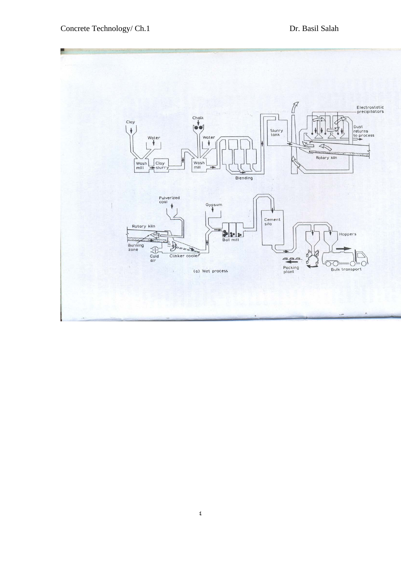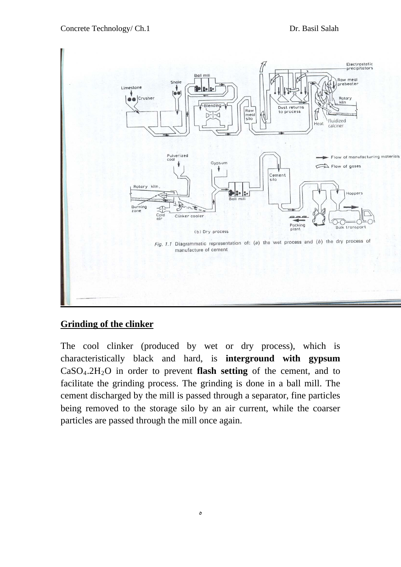

# **Grinding of the clinker**

The cool clinker (produced by wet or dry process), which is characteristically black and hard, is **interground with gypsum**  $CaSO<sub>4</sub>$ .2H<sub>2</sub>O in order to prevent **flash setting** of the cement, and to facilitate the grinding process. The grinding is done in a ball mill. The cement discharged by the mill is passed through a separator, fine particles being removed to the storage silo by an air current, while the coarser particles are passed through the mill once again.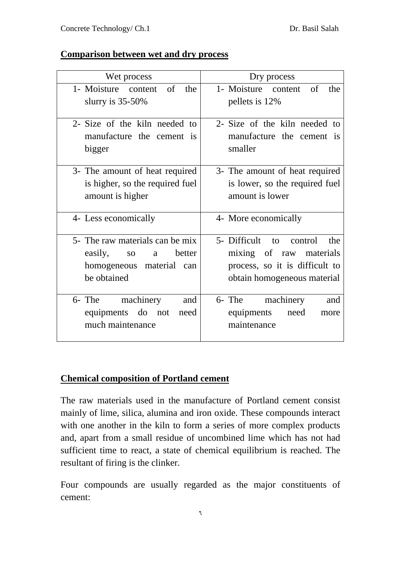### **Comparison between wet and dry process**

| Wet process                                                                                                             | Dry process                                                                                                                   |
|-------------------------------------------------------------------------------------------------------------------------|-------------------------------------------------------------------------------------------------------------------------------|
| 1- Moisture content of<br>the<br>slurry is $35-50\%$                                                                    | 1- Moisture content of<br>the<br>pellets is 12%                                                                               |
| 2- Size of the kiln needed to<br>manufacture the cement is<br>bigger                                                    | 2- Size of the kiln needed to<br>manufacture the cement is<br>smaller                                                         |
| 3- The amount of heat required<br>is higher, so the required fuel<br>amount is higher                                   | 3- The amount of heat required<br>is lower, so the required fuel<br>amount is lower                                           |
| 4- Less economically                                                                                                    | 4- More economically                                                                                                          |
| 5- The raw materials can be mix<br>easily,<br>better<br>SO <sub>1</sub><br>a<br>homogeneous material can<br>be obtained | 5- Difficult<br>to control<br>the<br>mixing of raw materials<br>process, so it is difficult to<br>obtain homogeneous material |
| machinery<br>6- The<br>and<br>equipments do not<br>need<br>much maintenance                                             | machinery<br>6- The<br>and<br>equipments<br>need<br>more<br>maintenance                                                       |

### **Chemical composition of Portland cement**

The raw materials used in the manufacture of Portland cement consist mainly of lime, silica, alumina and iron oxide. These compounds interact with one another in the kiln to form a series of more complex products and, apart from a small residue of uncombined lime which has not had sufficient time to react, a state of chemical equilibrium is reached. The resultant of firing is the clinker.

Four compounds are usually regarded as the major constituents of cement: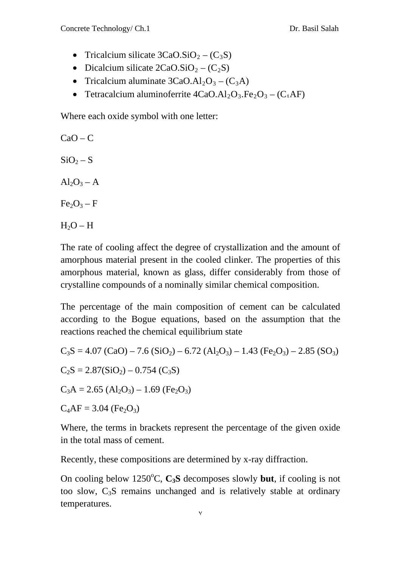- Tricalcium silicate  $3CaO.SiO_2 (C_3S)$
- Dicalcium silicate  $2CaO.SiO_2 (C_2S)$
- Tricalcium aluminate  $3CaO.AI_2O_3 (C_3A)$
- Tetracalcium aluminoferrite  $4CaO.AI_2O_3.Fe_2O_3 (C_4AF)$

Where each oxide symbol with one letter:

 $CaO - C$  $SiO<sub>2</sub> - S$  $Al_2O_3 - A$  $Fe<sub>2</sub>O<sub>3</sub> - F$  $H_2O - H$ 

The rate of cooling affect the degree of crystallization and the amount of amorphous material present in the cooled clinker. The properties of this amorphous material, known as glass, differ considerably from those of crystalline compounds of a nominally similar chemical composition.

The percentage of the main composition of cement can be calculated according to the Bogue equations, based on the assumption that the reactions reached the chemical equilibrium state

$$
C_3S = 4.07 (CaO) – 7.6 (SiO2) – 6.72 (Al2O3) – 1.43 (Fe2O3) – 2.85 (SO3)\nC2S = 2.87(SiO2) – 0.754 (C3S)\nC3A = 2.65 (Al2O3) – 1.69 (Fe2O3)\nC4AF = 3.04 (Fe2O3)
$$

Where, the terms in brackets represent the percentage of the given oxide in the total mass of cement.

Recently, these compositions are determined by x-ray diffraction.

On cooling below 1250°C, C<sub>3</sub>S decomposes slowly but, if cooling is not too slow, C3S remains unchanged and is relatively stable at ordinary temperatures.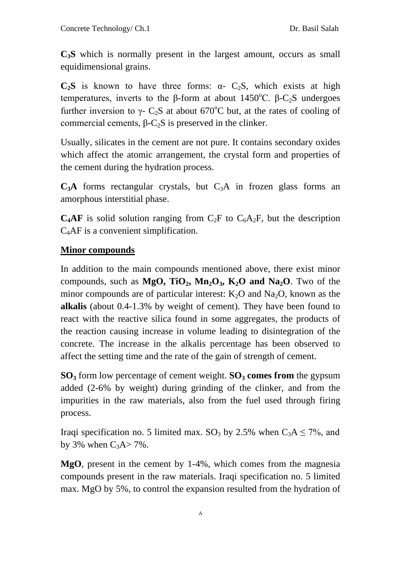**C3S** which is normally present in the largest amount, occurs as small equidimensional grains.

 $C_2S$  is known to have three forms:  $\alpha$ -  $C_2S$ , which exists at high temperatures, inverts to the  $\beta$ -form at about 1450<sup>o</sup>C.  $\beta$ -C<sub>2</sub>S undergoes further inversion to  $\gamma$ - C<sub>2</sub>S at about 670<sup>°</sup>C but, at the rates of cooling of commercial cements,  $β$ -C<sub>2</sub>S is preserved in the clinker.

Usually, silicates in the cement are not pure. It contains secondary oxides which affect the atomic arrangement, the crystal form and properties of the cement during the hydration process.

 $C_3A$  forms rectangular crystals, but  $C_3A$  in frozen glass forms an amorphous interstitial phase.

**C<sub>4</sub>AF** is solid solution ranging from  $C_2F$  to  $C_6A_2F$ , but the description C4AF is a convenient simplification.

# **Minor compounds**

In addition to the main compounds mentioned above, there exist minor compounds, such as  $MgO$ ,  $TiO_2$ ,  $Mn_2O_3$ ,  $K_2O$  and  $Na_2O$ . Two of the minor compounds are of particular interest:  $K_2O$  and  $Na_2O$ , known as the **alkalis** (about 0.4-1.3% by weight of cement). They have been found to react with the reactive silica found in some aggregates, the products of the reaction causing increase in volume leading to disintegration of the concrete. The increase in the alkalis percentage has been observed to affect the setting time and the rate of the gain of strength of cement.

**SO3** form low percentage of cement weight. **SO3 comes from** the gypsum added (2-6% by weight) during grinding of the clinker, and from the impurities in the raw materials, also from the fuel used through firing process.

Iraqi specification no. 5 limited max. SO<sub>3</sub> by 2.5% when  $C_3A \le 7\%$ , and by 3% when  $C_3A > 7\%$ .

**MgO**, present in the cement by 1-4%, which comes from the magnesia compounds present in the raw materials. Iraqi specification no. 5 limited max. MgO by 5%, to control the expansion resulted from the hydration of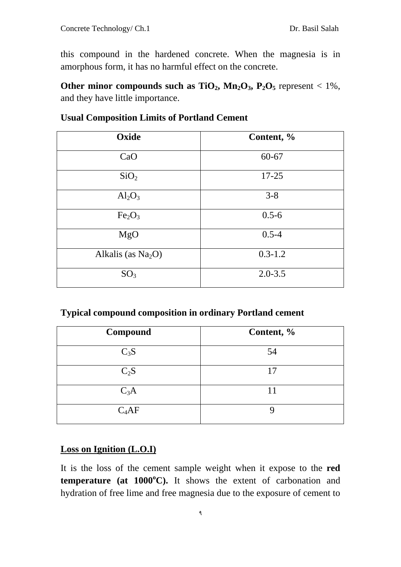this compound in the hardened concrete. When the magnesia is in amorphous form, it has no harmful effect on the concrete.

**Other minor compounds such as**  $TiO_2$ **,**  $Mn_2O_3$ **,**  $P_2O_5$  **represent < 1%,** and they have little importance.

| Oxide                          | Content, %  |
|--------------------------------|-------------|
| CaO                            | $60 - 67$   |
| SiO <sub>2</sub>               | $17 - 25$   |
| $Al_2O_3$                      | $3 - 8$     |
| Fe <sub>2</sub> O <sub>3</sub> | $0.5 - 6$   |
| MgO                            | $0.5 - 4$   |
| Alkalis (as $Na2O$ )           | $0.3 - 1.2$ |
| SO <sub>3</sub>                | $2.0 - 3.5$ |

### **Usual Composition Limits of Portland Cement**

#### **Typical compound composition in ordinary Portland cement**

| Compound | Content, % |
|----------|------------|
| $C_3S$   | 54         |
| $C_2S$   | 17         |
| $C_3A$   | 11         |
| $C_4AF$  | Q          |

#### **Loss on Ignition (L.O.I)**

It is the loss of the cement sample weight when it expose to the **red temperature (at 1000***<sup>P</sup>* **o** *<sup>P</sup>***C).** It shows the extent of carbonation and hydration of free lime and free magnesia due to the exposure of cement to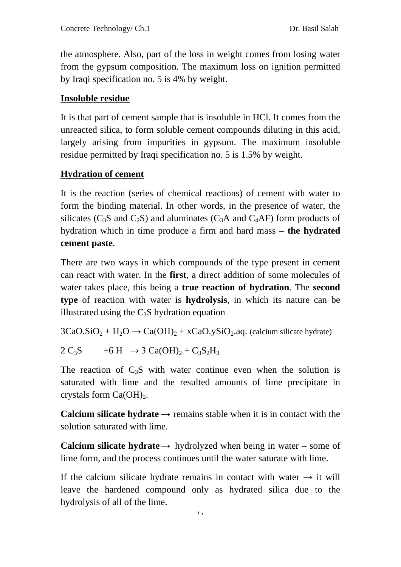the atmosphere. Also, part of the loss in weight comes from losing water from the gypsum composition. The maximum loss on ignition permitted by Iraqi specification no. 5 is 4% by weight.

# **Insoluble residue**

It is that part of cement sample that is insoluble in HCl. It comes from the unreacted silica, to form soluble cement compounds diluting in this acid, largely arising from impurities in gypsum. The maximum insoluble residue permitted by Iraqi specification no. 5 is 1.5% by weight.

# **Hydration of cement**

It is the reaction (series of chemical reactions) of cement with water to form the binding material. In other words, in the presence of water, the silicates ( $C_3S$  and  $C_2S$ ) and aluminates ( $C_3A$  and  $C_4AF$ ) form products of hydration which in time produce a firm and hard mass – **the hydrated cement paste**.

There are two ways in which compounds of the type present in cement can react with water. In the **first**, a direct addition of some molecules of water takes place, this being a **true reaction of hydration**. The **second type** of reaction with water is **hydrolysis**, in which its nature can be illustrated using the  $C_3S$  hydration equation

 $3CaO.SiO<sub>2</sub> + H<sub>2</sub>O \rightarrow Ca(OH)<sub>2</sub> + xCaO.ySiO<sub>2</sub>.$  (calcium silicate hydrate)

 $2 C_3S +6 H \rightarrow 3 C_a(OH)_2 + C_3S_2H_3$ 

The reaction of  $C_3S$  with water continue even when the solution is saturated with lime and the resulted amounts of lime precipitate in crystals form  $Ca(OH)_2$ .

**Calcium silicate hydrate**  $\rightarrow$  remains stable when it is in contact with the solution saturated with lime.

**Calcium silicate hydrate**  $\rightarrow$  hydrolyzed when being in water – some of lime form, and the process continues until the water saturate with lime.

If the calcium silicate hydrate remains in contact with water  $\rightarrow$  it will leave the hardened compound only as hydrated silica due to the hydrolysis of all of the lime.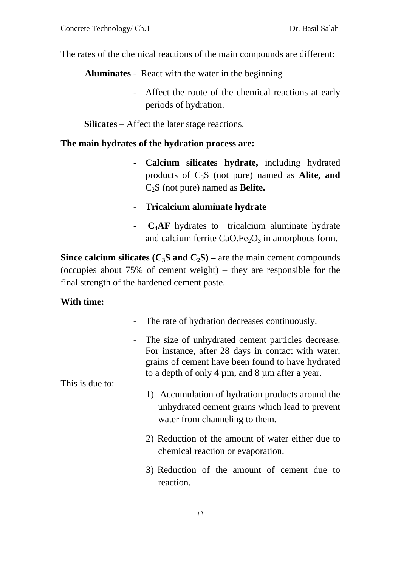The rates of the chemical reactions of the main compounds are different:

**Aluminates** - React with the water in the beginning

- Affect the route of the chemical reactions at early periods of hydration.

**Silicates –** Affect the later stage reactions.

#### **The main hydrates of the hydration process are:**

- **Calcium silicates hydrate,** including hydrated products of C3S (not pure) named as **Alite, and**  C2S (not pure) named as **Belite.**
- **Tricalcium aluminate hydrate**
- **C4AF** hydrates to tricalcium aluminate hydrate and calcium ferrite  $CaO.Fe<sub>2</sub>O<sub>3</sub>$  in amorphous form.

**Since calcium silicates**  $(C_3S \text{ and } C_2S)$  **– are the main cement compounds** (occupies about 75% of cement weight) **–** they are responsible for the final strength of the hardened cement paste.

### **With time:**

- The rate of hydration decreases continuously.
- The size of unhydrated cement particles decrease. For instance, after 28 days in contact with water, grains of cement have been found to have hydrated to a depth of only  $4 \mu m$ , and  $8 \mu m$  after a year.

This is due to:

- 1) Accumulation of hydration products around the unhydrated cement grains which lead to prevent water from channeling to them**.**
- 2) Reduction of the amount of water either due to chemical reaction or evaporation.
- 3) Reduction of the amount of cement due to reaction.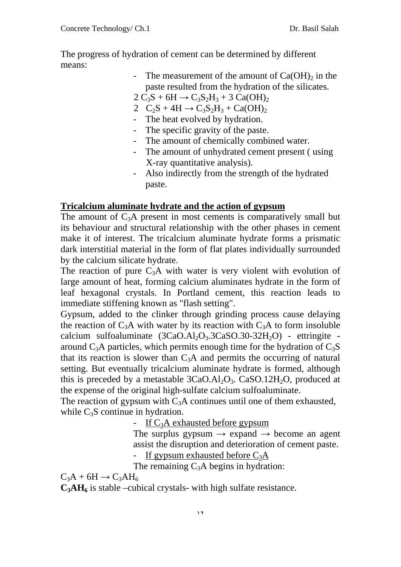The progress of hydration of cement can be determined by different means:

> - The measurement of the amount of  $Ca(OH)$ <sub>2</sub> in the paste resulted from the hydration of the silicates.

 $2 C_3S + 6H \rightarrow C_3S_2H_3 + 3 Ca(OH)_2$ 

- 2  $C_2S + 4H \rightarrow C_3S_2H_3 + Ca(OH)_2$
- The heat evolved by hydration.
- The specific gravity of the paste.
- The amount of chemically combined water.
- The amount of unhydrated cement present ( using X-ray quantitative analysis).
- Also indirectly from the strength of the hydrated paste.

# **Tricalcium aluminate hydrate and the action of gypsum**

The amount of  $C_3A$  present in most cements is comparatively small but its behaviour and structural relationship with the other phases in cement make it of interest. The tricalcium aluminate hydrate forms a prismatic dark interstitial material in the form of flat plates individually surrounded by the calcium silicate hydrate.

The reaction of pure  $C_3A$  with water is very violent with evolution of large amount of heat, forming calcium aluminates hydrate in the form of leaf hexagonal crystals. In Portland cement, this reaction leads to immediate stiffening known as "flash setting".

Gypsum, added to the clinker through grinding process cause delaying the reaction of  $C_3A$  with water by its reaction with  $C_3A$  to form insoluble calcium sulfoaluminate  $(3CaO.AI<sub>2</sub>O<sub>3</sub>.3CaSO.30-32H<sub>2</sub>O)$  - ettringite around  $C_3$ A particles, which permits enough time for the hydration of  $C_3$ S that its reaction is slower than  $C_3A$  and permits the occurring of natural setting. But eventually tricalcium aluminate hydrate is formed, although this is preceded by a metastable  $3CaO.AI<sub>2</sub>O<sub>3</sub>$ . CaSO.12H<sub>2</sub>O, produced at the expense of the original high-sulfate calcium sulfoaluminate.

The reaction of gypsum with  $C_3A$  continues until one of them exhausted, while  $C_3S$  continue in hydration.

- If  $C_3A$  exhausted before gypsum

The surplus gypsum  $\rightarrow$  expand  $\rightarrow$  become an agent assist the disruption and deterioration of cement paste.

- If gypsum exhausted before  $C_3A$ 

The remaining  $C_3A$  begins in hydration:

 $C_3A + 6H \rightarrow C_3AH_6$ 

 $C_3AH_6$  is stable –cubical crystals- with high sulfate resistance.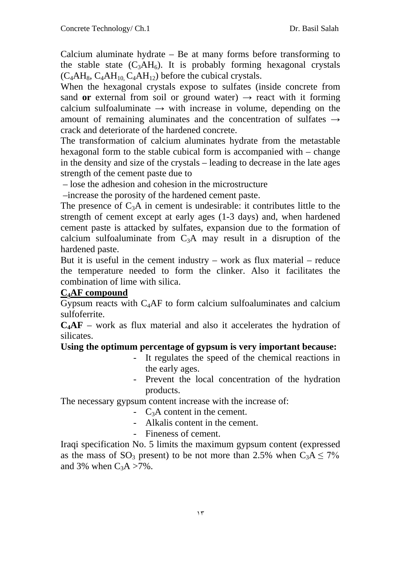Calcium aluminate hydrate – Be at many forms before transforming to the stable state  $(C_3AH_6)$ . It is probably forming hexagonal crystals  $(C_4AH_8, C_4AH_{10}C_4AH_{12})$  before the cubical crystals.

When the hexagonal crystals expose to sulfates (inside concrete from sand **or** external from soil or ground water)  $\rightarrow$  react with it forming calcium sulfoaluminate  $\rightarrow$  with increase in volume, depending on the amount of remaining aluminates and the concentration of sulfates **→** crack and deteriorate of the hardened concrete.

The transformation of calcium aluminates hydrate from the metastable hexagonal form to the stable cubical form is accompanied with – change in the density and size of the crystals – leading to decrease in the late ages strength of the cement paste due to

– lose the adhesion and cohesion in the microstructure

–increase the porosity of the hardened cement paste.

The presence of  $C_3A$  in cement is undesirable: it contributes little to the strength of cement except at early ages (1-3 days) and, when hardened cement paste is attacked by sulfates, expansion due to the formation of calcium sulfoaluminate from  $C_3A$  may result in a disruption of the hardened paste.

But it is useful in the cement industry – work as flux material – reduce the temperature needed to form the clinker. Also it facilitates the combination of lime with silica.

# **C4AF compound**

Gypsum reacts with  $C_4$ AF to form calcium sulfoaluminates and calcium sulfoferrite.

**C4AF** – work as flux material and also it accelerates the hydration of silicates.

# **Using the optimum percentage of gypsum is very important because:**

- It regulates the speed of the chemical reactions in the early ages.
- Prevent the local concentration of the hydration products.

The necessary gypsum content increase with the increase of:

- C3A content in the cement.
- Alkalis content in the cement.
- Fineness of cement.

Iraqi specification No. 5 limits the maximum gypsum content (expressed as the mass of  $SO_3$  present) to be not more than 2.5% when  $C_3A \le 7\%$ and 3% when  $C_3A > 7\%$ .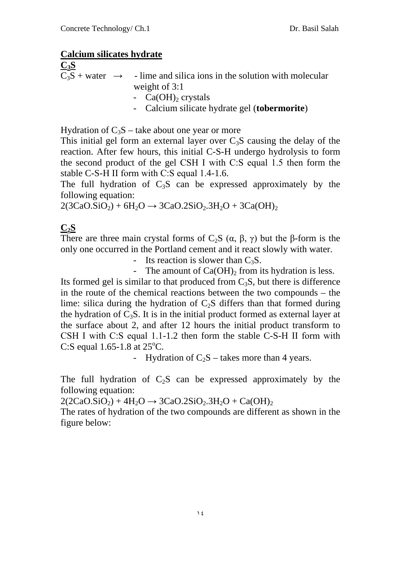### **Calcium silicates hydrate**

**C3S**

 $\overline{C_3S}$  + water  $\rightarrow$  - lime and silica ions in the solution with molecular weight of 3:1 -  $Ca(OH)$ <sub>2</sub> crystals - Calcium silicate hydrate gel (**tobermorite**)

Hydration of  $C_3S$  – take about one year or more

This initial gel form an external layer over  $C_3S$  causing the delay of the reaction. After few hours, this initial C-S-H undergo hydrolysis to form the second product of the gel CSH І with C:S equal 1.5 then form the stable C-S-H ІІ form with C:S equal 1.4-1.6.

The full hydration of  $C_3S$  can be expressed approximately by the following equation:

 $2(3CaO.SiO<sub>2</sub>) + 6H<sub>2</sub>O \rightarrow 3CaO.2SiO<sub>2</sub>.3H<sub>2</sub>O + 3Ca(OH)<sub>2</sub>$ 

# **C2S**

There are three main crystal forms of  $C_2S$  ( $\alpha$ ,  $\beta$ ,  $\gamma$ ) but the β-form is the only one occurred in the Portland cement and it react slowly with water.

- Its reaction is slower than  $C_3S$ .

- The amount of  $Ca(OH)$ , from its hydration is less.

Its formed gel is similar to that produced from  $C_3S$ , but there is difference in the route of the chemical reactions between the two compounds – the lime: silica during the hydration of  $C<sub>2</sub>S$  differs than that formed during the hydration of  $C_3S$ . It is in the initial product formed as external layer at the surface about 2, and after 12 hours the initial product transform to CSH І with C:S equal 1.1-1.2 then form the stable C-S-H ІІ form with C:S equal 1.65-1.8 at 25°C.

- Hydration of  $C_2S$  – takes more than 4 years.

The full hydration of  $C_2S$  can be expressed approximately by the following equation:

 $2(2CaO.SiO<sub>2</sub>) + 4H<sub>2</sub>O \rightarrow 3CaO.2SiO<sub>2</sub>.3H<sub>2</sub>O + Ca(OH)<sub>2</sub>$ 

The rates of hydration of the two compounds are different as shown in the figure below: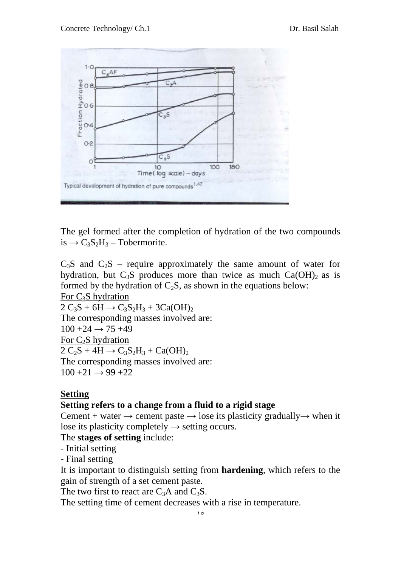

The gel formed after the completion of hydration of the two compounds  $is \rightarrow C_3S_2H_3$  – Tobermorite.

 $C_3S$  and  $C_2S$  – require approximately the same amount of water for hydration, but  $C_3S$  produces more than twice as much  $Ca(OH)_2$  as is formed by the hydration of  $C_2S$ , as shown in the equations below: For  $C_3S$  hydration  $2 C_3S + 6H \rightarrow C_3S_2H_3 + 3Ca(OH)_{2}$ The corresponding masses involved are:  $100 + 24 \rightarrow 75 + 49$ For  $C_2S$  hydration  $2 C_2S + 4H \rightarrow C_3S_2H_3 + Ca(OH)_2$ The corresponding masses involved are:  $100 + 21 \rightarrow 99 + 22$ 

### **Setting**

### **Setting refers to a change from a fluid to a rigid stage**

Cement + water  $\rightarrow$  cement paste  $\rightarrow$  lose its plasticity gradually  $\rightarrow$  when it lose its plasticity completely  $\rightarrow$  setting occurs.

The **stages of setting** include:

- Initial setting

- Final setting

It is important to distinguish setting from **hardening**, which refers to the gain of strength of a set cement paste.

The two first to react are  $C_3A$  and  $C_3S$ .

The setting time of cement decreases with a rise in temperature.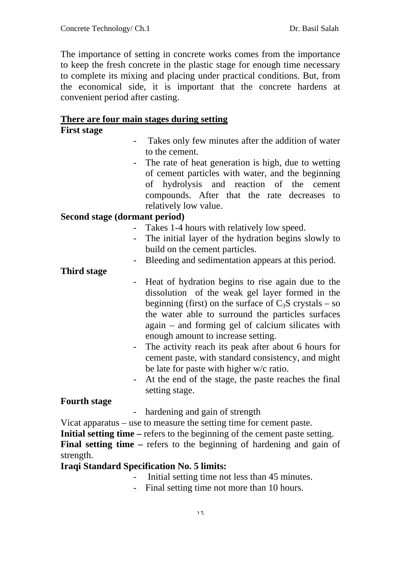The importance of setting in concrete works comes from the importance to keep the fresh concrete in the plastic stage for enough time necessary to complete its mixing and placing under practical conditions. But, from the economical side, it is important that the concrete hardens at convenient period after casting.

#### **There are four main stages during setting**

# **First stage**

- Takes only few minutes after the addition of water to the cement.
- The rate of heat generation is high, due to wetting of cement particles with water, and the beginning of hydrolysis and reaction of the cement compounds. After that the rate decreases to relatively low value.

### **Second stage (dormant period)**

- Takes 1-4 hours with relatively low speed.
- The initial layer of the hydration begins slowly to build on the cement particles.
- Bleeding and sedimentation appears at this period.

### **Third stage**

- Heat of hydration begins to rise again due to the dissolution of the weak gel layer formed in the beginning (first) on the surface of  $C_3S$  crystals – so the water able to surround the particles surfaces again – and forming gel of calcium silicates with enough amount to increase setting.
	- The activity reach its peak after about 6 hours for cement paste, with standard consistency, and might be late for paste with higher w/c ratio.
	- At the end of the stage, the paste reaches the final setting stage.

### **Fourth stage**

- hardening and gain of strength

Vicat apparatus – use to measure the setting time for cement paste.

**Initial setting time** – refers to the beginning of the cement paste setting.

**Final setting time** – refers to the beginning of hardening and gain of strength.

### **Iraqi Standard Specification No. 5 limits:**

- Initial setting time not less than 45 minutes.
- Final setting time not more than 10 hours.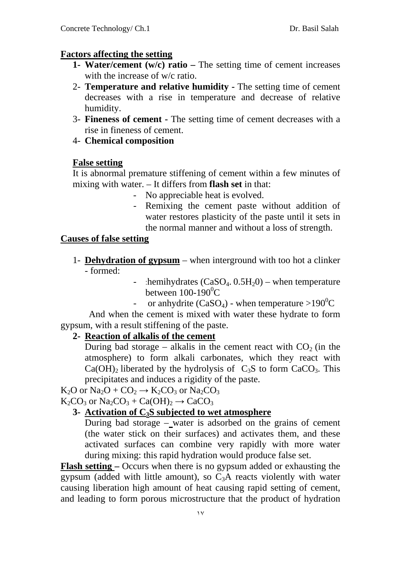#### **Factors affecting the setting**

- **1- Water/cement (w/c) ratio –** The setting time of cement increases with the increase of w/c ratio.
- 2- **Temperature and relative humidity -** The setting time of cement decreases with a rise in temperature and decrease of relative humidity.
- 3- **Fineness of cement -** The setting time of cement decreases with a rise in fineness of cement.
- 4- **Chemical composition**

#### **False setting**

It is abnormal premature stiffening of cement within a few minutes of mixing with water. – It differs from **flash set** in that:

- No appreciable heat is evolved.
- Remixing the cement paste without addition of water restores plasticity of the paste until it sets in the normal manner and without a loss of strength.

#### **Causes of false setting**

- 1- **Dehydration of gypsum** when interground with too hot a clinker - formed:
	- :hemihydrates  $(CaSO<sub>4</sub>, 0.5H<sub>2</sub>)$  when temperature between 100-190<sup>0</sup>C
	- or anhydrite  $(CaSO_4)$  when temperature >190<sup>0</sup>C

 And when the cement is mixed with water these hydrate to form gypsum, with a result stiffening of the paste.

### **2- Reaction of alkalis of the cement**

During bad storage – alkalis in the cement react with  $CO<sub>2</sub>$  (in the atmosphere) to form alkali carbonates, which they react with  $Ca(OH)_2$  liberated by the hydrolysis of  $C_3S$  to form  $CaCO_3$ . This precipitates and induces a rigidity of the paste.

 $K_2O$  or  $Na_2O + CO_2 \rightarrow K_2CO_3$  or  $Na_2CO_3$  $K_2CO_3$  or  $Na_2CO_3 + Ca(OH)_2 \rightarrow CaCO_3$ 

**3- Activation of C3S subjected to wet atmosphere**

During bad storage – water is adsorbed on the grains of cement (the water stick on their surfaces) and activates them, and these activated surfaces can combine very rapidly with more water during mixing: this rapid hydration would produce false set.

**Flash setting –** Occurs when there is no gypsum added or exhausting the gypsum (added with little amount), so  $C_3A$  reacts violently with water causing liberation high amount of heat causing rapid setting of cement, and leading to form porous microstructure that the product of hydration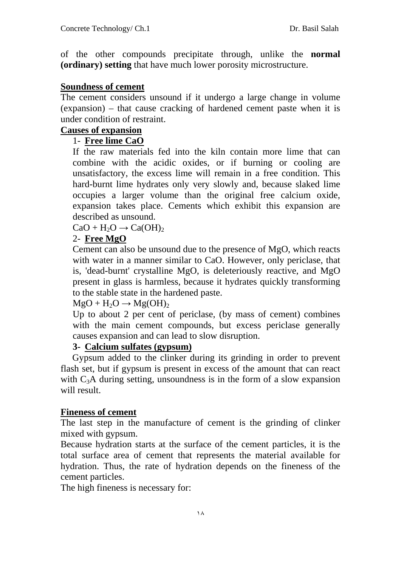of the other compounds precipitate through, unlike the **normal (ordinary) setting** that have much lower porosity microstructure.

### **Soundness of cement**

The cement considers unsound if it undergo a large change in volume (expansion) – that cause cracking of hardened cement paste when it is under condition of restraint.

### **Causes of expansion**

### 1- **Free lime CaO**

If the raw materials fed into the kiln contain more lime that can combine with the acidic oxides, or if burning or cooling are unsatisfactory, the excess lime will remain in a free condition. This hard-burnt lime hydrates only very slowly and, because slaked lime occupies a larger volume than the original free calcium oxide, expansion takes place. Cements which exhibit this expansion are described as unsound.

 $CaO + H<sub>2</sub>O \rightarrow Ca(OH)<sub>2</sub>$ 

# 2- **Free MgO**

Cement can also be unsound due to the presence of MgO, which reacts with water in a manner similar to CaO. However, only periclase, that is, 'dead-burnt' crystalline MgO, is deleteriously reactive, and MgO present in glass is harmless, because it hydrates quickly transforming to the stable state in the hardened paste.

#### $MgO + H<sub>2</sub>O \rightarrow Mg(OH)<sub>2</sub>$

Up to about 2 per cent of periclase, (by mass of cement) combines with the main cement compounds, but excess periclase generally causes expansion and can lead to slow disruption.

### **3- Calcium sulfates (gypsum)**

 Gypsum added to the clinker during its grinding in order to prevent flash set, but if gypsum is present in excess of the amount that can react with  $C_3A$  during setting, unsoundness is in the form of a slow expansion will result.

#### **Fineness of cement**

The last step in the manufacture of cement is the grinding of clinker mixed with gypsum.

Because hydration starts at the surface of the cement particles, it is the total surface area of cement that represents the material available for hydration. Thus, the rate of hydration depends on the fineness of the cement particles.

The high fineness is necessary for: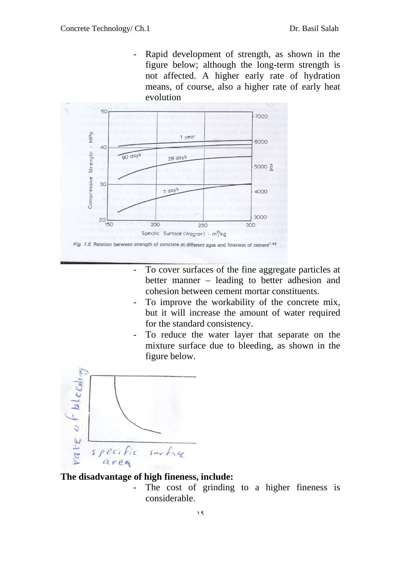Rapid development of strength, as shown in the figure below; although the long-term strength is not affected. A higher early rate of hydration means, of course, also a higher rate of early heat evolution



- To cover surfaces of the fine aggregate particles at better manner – leading to better adhesion and cohesion between cement mortar constituents.
- To improve the workability of the concrete mix, but it will increase the amount of water required for the standard consistency.
- To reduce the water layer that separate on the mixture surface due to bleeding, as shown in the figure below.



# **The disadvantage of high fineness, include:**

The cost of grinding to a higher fineness is considerable.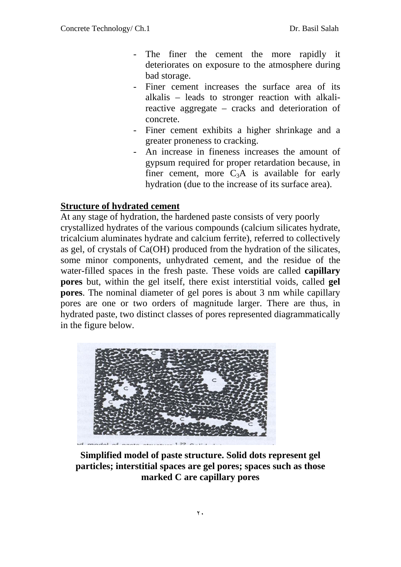- The finer the cement the more rapidly it deteriorates on exposure to the atmosphere during bad storage.
- Finer cement increases the surface area of its alkalis – leads to stronger reaction with alkalireactive aggregate – cracks and deterioration of concrete.
- Finer cement exhibits a higher shrinkage and a greater proneness to cracking.
- An increase in fineness increases the amount of gypsum required for proper retardation because, in finer cement, more  $C_3A$  is available for early hydration (due to the increase of its surface area).

# **Structure of hydrated cement**

At any stage of hydration, the hardened paste consists of very poorly crystallized hydrates of the various compounds (calcium silicates hydrate, tricalcium aluminates hydrate and calcium ferrite), referred to collectively as gel, of crystals of Ca(OH) produced from the hydration of the silicates, some minor components, unhydrated cement, and the residue of the water-filled spaces in the fresh paste. These voids are called **capillary pores** but, within the gel itself, there exist interstitial voids, called **gel pores**. The nominal diameter of gel pores is about 3 nm while capillary pores are one or two orders of magnitude larger. There are thus, in hydrated paste, two distinct classes of pores represented diagrammatically in the figure below.



**Simplified model of paste structure. Solid dots represent gel particles; interstitial spaces are gel pores; spaces such as those marked C are capillary pores**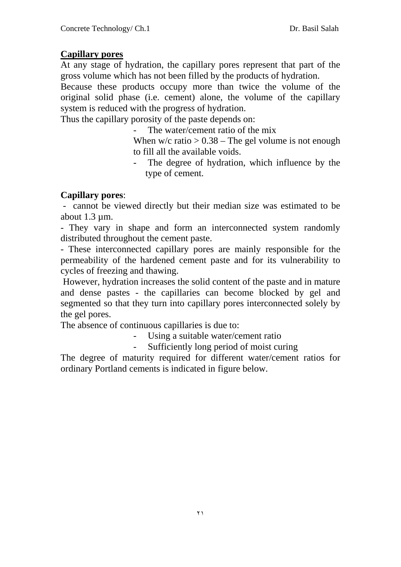### **Capillary pores**

At any stage of hydration, the capillary pores represent that part of the gross volume which has not been filled by the products of hydration.

Because these products occupy more than twice the volume of the original solid phase (i.e. cement) alone, the volume of the capillary system is reduced with the progress of hydration.

Thus the capillary porosity of the paste depends on:

The water/cement ratio of the mix

When  $w/c$  ratio  $> 0.38$  – The gel volume is not enough to fill all the available voids.

The degree of hydration, which influence by the type of cement.

### **Capillary pores**:

- cannot be viewed directly but their median size was estimated to be about 1.3 µm.

- They vary in shape and form an interconnected system randomly distributed throughout the cement paste.

- These interconnected capillary pores are mainly responsible for the permeability of the hardened cement paste and for its vulnerability to cycles of freezing and thawing.

However, hydration increases the solid content of the paste and in mature and dense pastes - the capillaries can become blocked by gel and segmented so that they turn into capillary pores interconnected solely by the gel pores.

The absence of continuous capillaries is due to:

- Using a suitable water/cement ratio

Sufficiently long period of moist curing

The degree of maturity required for different water/cement ratios for ordinary Portland cements is indicated in figure below.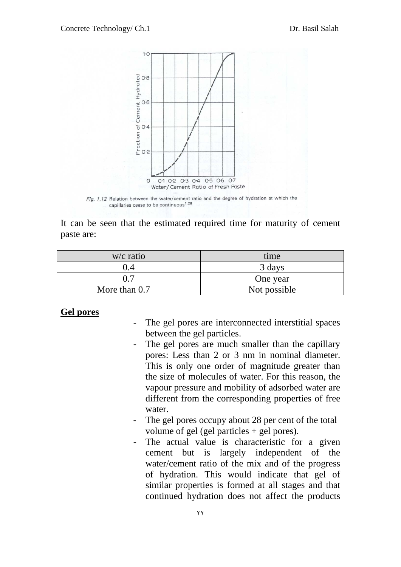

Fig. 1.12 Relation between the water/cement ratio and the degree of hydration at which the capillaries cease to be continuous<sup>1.26</sup>

It can be seen that the estimated required time for maturity of cement paste are:

| $w/c$ ratio     | time         |
|-----------------|--------------|
|                 | 3 days       |
| ሰ 7             | One year     |
| More than $0.7$ | Not possible |

#### **Gel pores**

- The gel pores are interconnected interstitial spaces between the gel particles.
- The gel pores are much smaller than the capillary pores: Less than 2 or 3 nm in nominal diameter. This is only one order of magnitude greater than the size of molecules of water. For this reason, the vapour pressure and mobility of adsorbed water are different from the corresponding properties of free water.
- The gel pores occupy about 28 per cent of the total volume of gel (gel particles + gel pores).
- The actual value is characteristic for a given cement but is largely independent of the water/cement ratio of the mix and of the progress of hydration. This would indicate that gel of similar properties is formed at all stages and that continued hydration does not affect the products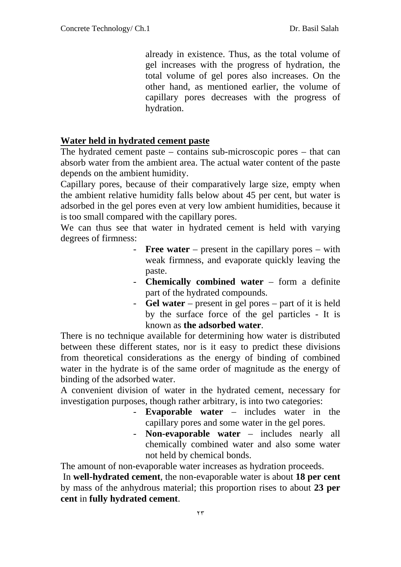already in existence. Thus, as the total volume of gel increases with the progress of hydration, the total volume of gel pores also increases. On the other hand, as mentioned earlier, the volume of capillary pores decreases with the progress of hydration.

#### **Water held in hydrated cement paste**

The hydrated cement paste – contains sub-microscopic pores – that can absorb water from the ambient area. The actual water content of the paste depends on the ambient humidity.

Capillary pores, because of their comparatively large size, empty when the ambient relative humidity falls below about 45 per cent, but water is adsorbed in the gel pores even at very low ambient humidities, because it is too small compared with the capillary pores.

We can thus see that water in hydrated cement is held with varying degrees of firmness:

- **Free water** present in the capillary pores with weak firmness, and evaporate quickly leaving the paste.
- **Chemically combined water** form a definite part of the hydrated compounds.
- **Gel water** present in gel pores part of it is held by the surface force of the gel particles - It is known as **the adsorbed water**.

There is no technique available for determining how water is distributed between these different states, nor is it easy to predict these divisions from theoretical considerations as the energy of binding of combined water in the hydrate is of the same order of magnitude as the energy of binding of the adsorbed water.

A convenient division of water in the hydrated cement, necessary for investigation purposes, though rather arbitrary, is into two categories:

- **Evaporable water** includes water in the capillary pores and some water in the gel pores.
- **Non-evaporable water** includes nearly all chemically combined water and also some water not held by chemical bonds.

The amount of non-evaporable water increases as hydration proceeds.

In **well-hydrated cement**, the non-evaporable water is about **18 per cent** by mass of the anhydrous material; this proportion rises to about **23 per cent** in **fully hydrated cement**.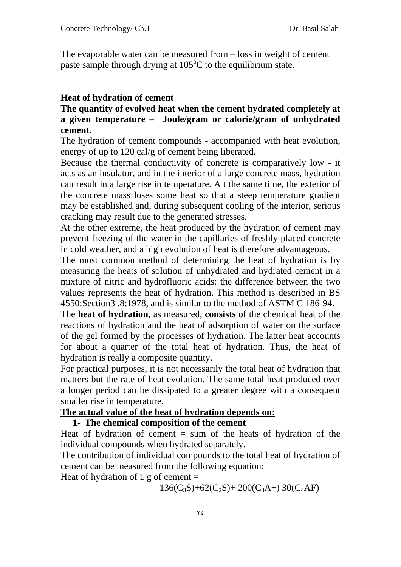The evaporable water can be measured from – loss in weight of cement paste sample through drying at 105°C to the equilibrium state.

# **Heat of hydration of cement**

# **The quantity of evolved heat when the cement hydrated completely at a given temperature – Joule/gram or calorie/gram of unhydrated cement.**

The hydration of cement compounds - accompanied with heat evolution, energy of up to 120 cal/g of cement being liberated.

Because the thermal conductivity of concrete is comparatively low - it acts as an insulator, and in the interior of a large concrete mass, hydration can result in a large rise in temperature. A t the same time, the exterior of the concrete mass loses some heat so that a steep temperature gradient may be established and, during subsequent cooling of the interior, serious cracking may result due to the generated stresses.

At the other extreme, the heat produced by the hydration of cement may prevent freezing of the water in the capillaries of freshly placed concrete in cold weather, and a high evolution of heat is therefore advantageous.

The most common method of determining the heat of hydration is by measuring the heats of solution of unhydrated and hydrated cement in a mixture of nitric and hydrofluoric acids: the difference between the two values represents the heat of hydration. This method is described in BS 4550:Section3 .8:1978, and is similar to the method of ASTM C 186-94.

The **heat of hydration**, as measured, **consists of** the chemical heat of the reactions of hydration and the heat of adsorption of water on the surface of the gel formed by the processes of hydration. The latter heat accounts for about a quarter of the total heat of hydration. Thus, the heat of hydration is really a composite quantity.

For practical purposes, it is not necessarily the total heat of hydration that matters but the rate of heat evolution. The same total heat produced over a longer period can be dissipated to a greater degree with a consequent smaller rise in temperature.

# **The actual value of the heat of hydration depends on:**

### **1- The chemical composition of the cement**

Heat of hydration of cement  $=$  sum of the heats of hydration of the individual compounds when hydrated separately.

The contribution of individual compounds to the total heat of hydration of cement can be measured from the following equation:

Heat of hydration of 1 g of cement  $=$ 

 $136(C_3S) + 62(C_2S) + 200(C_3A) + 30(C_4AF)$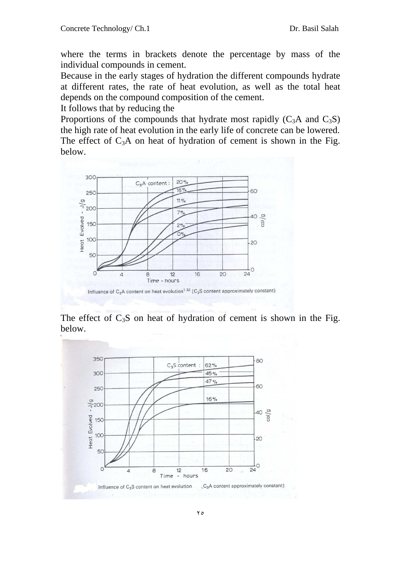where the terms in brackets denote the percentage by mass of the individual compounds in cement.

Because in the early stages of hydration the different compounds hydrate at different rates, the rate of heat evolution, as well as the total heat depends on the compound composition of the cement.

It follows that by reducing the

Proportions of the compounds that hydrate most rapidly  $(C_3A$  and  $C_3S)$ the high rate of heat evolution in the early life of concrete can be lowered. The effect of  $C_3A$  on heat of hydration of cement is shown in the Fig. below.



The effect of  $C_3S$  on heat of hydration of cement is shown in the Fig. below.

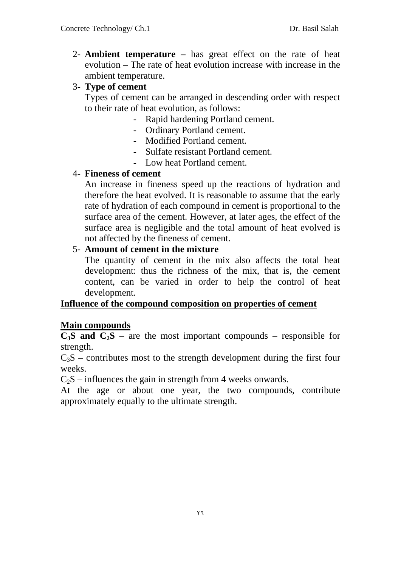2- **Ambient temperature –** has great effect on the rate of heat evolution – The rate of heat evolution increase with increase in the ambient temperature.

### 3- **Type of cement**

Types of cement can be arranged in descending order with respect to their rate of heat evolution, as follows:

- Rapid hardening Portland cement.
- Ordinary Portland cement.
- Modified Portland cement.
- Sulfate resistant Portland cement.
- Low heat Portland cement.

### 4- **Fineness of cement**

An increase in fineness speed up the reactions of hydration and therefore the heat evolved. It is reasonable to assume that the early rate of hydration of each compound in cement is proportional to the surface area of the cement. However, at later ages, the effect of the surface area is negligible and the total amount of heat evolved is not affected by the fineness of cement.

# 5- **Amount of cement in the mixture**

The quantity of cement in the mix also affects the total heat development: thus the richness of the mix, that is, the cement content, can be varied in order to help the control of heat development.

# **Influence of the compound composition on properties of cement**

# **Main compounds**

 $\overline{C_3S}$  and  $\overline{C_2S}$  – are the most important compounds – responsible for strength.

 $C_3S$  – contributes most to the strength development during the first four weeks.

 $C_2S$  – influences the gain in strength from 4 weeks onwards.

At the age or about one year, the two compounds, contribute approximately equally to the ultimate strength.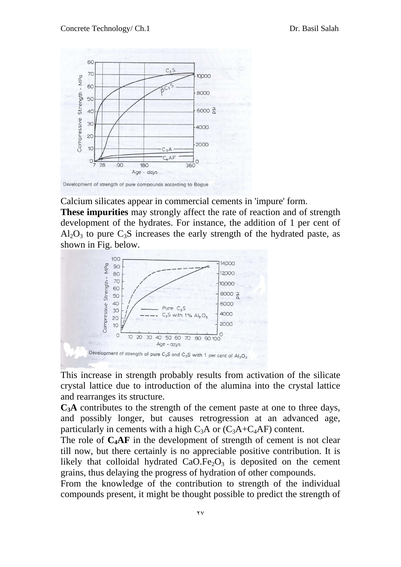

Development of strength of pure compounds according to Bogue

Calcium silicates appear in commercial cements in 'impure' form.

**These impurities** may strongly affect the rate of reaction and of strength development of the hydrates. For instance, the addition of 1 per cent of  $Al_2O_3$  to pure  $C_3S$  increases the early strength of the hydrated paste, as shown in Fig. below.



This increase in strength probably results from activation of the silicate crystal lattice due to introduction of the alumina into the crystal lattice and rearranges its structure.

**C3A** contributes to the strength of the cement paste at one to three days, and possibly longer, but causes retrogression at an advanced age, particularly in cements with a high  $C_3A$  or  $(C_3A+C_4AF)$  content.

The role of  $C_4AF$  in the development of strength of cement is not clear till now, but there certainly is no appreciable positive contribution. It is likely that colloidal hydrated  $CaO.Fe<sub>2</sub>O<sub>3</sub>$  is deposited on the cement grains, thus delaying the progress of hydration of other compounds.

From the knowledge of the contribution to strength of the individual compounds present, it might be thought possible to predict the strength of